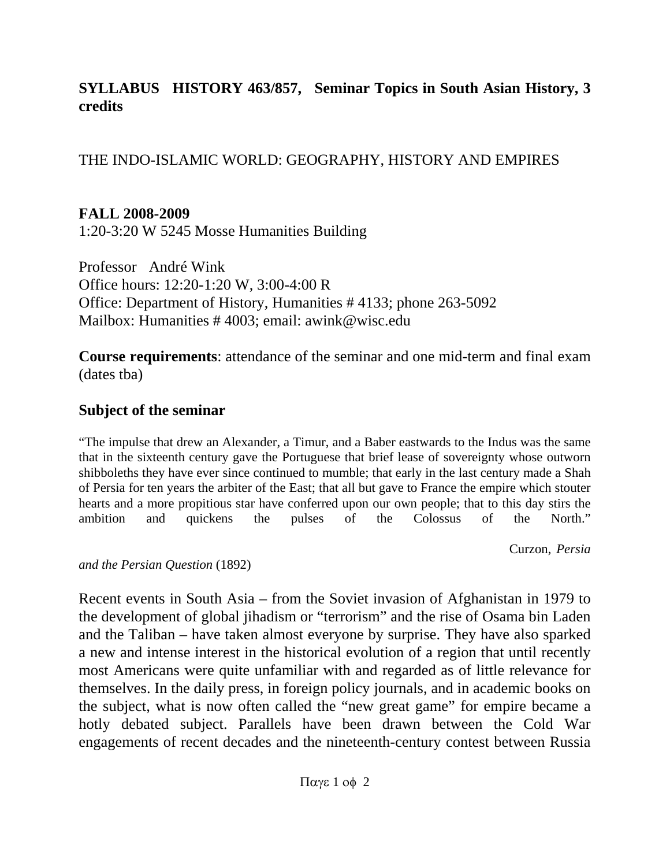#### **SYLLABUS HISTORY 463/857, Seminar Topics in South Asian History, 3 credits**

THE INDO-ISLAMIC WORLD: GEOGRAPHY, HISTORY AND EMPIRES

#### **FALL 2008-2009**

1:20-3:20 W 5245 Mosse Humanities Building

Professor André Wink Office hours: 12:20-1:20 W, 3:00-4:00 R Office: Department of History, Humanities # 4133; phone 263-5092 Mailbox: Humanities # 4003; email: awink@wisc.edu

**Course requirements**: attendance of the seminar and one mid-term and final exam (dates tba)

#### **Subject of the seminar**

"The impulse that drew an Alexander, a Timur, and a Baber eastwards to the Indus was the same that in the sixteenth century gave the Portuguese that brief lease of sovereignty whose outworn shibboleths they have ever since continued to mumble; that early in the last century made a Shah of Persia for ten years the arbiter of the East; that all but gave to France the empire which stouter hearts and a more propitious star have conferred upon our own people; that to this day stirs the ambition and quickens the pulses of the Colossus of the North."

Curzon, *Persia* 

*and the Persian Question* (1892)

Recent events in South Asia – from the Soviet invasion of Afghanistan in 1979 to the development of global jihadism or "terrorism" and the rise of Osama bin Laden and the Taliban – have taken almost everyone by surprise. They have also sparked a new and intense interest in the historical evolution of a region that until recently most Americans were quite unfamiliar with and regarded as of little relevance for themselves. In the daily press, in foreign policy journals, and in academic books on the subject, what is now often called the "new great game" for empire became a hotly debated subject. Parallels have been drawn between the Cold War engagements of recent decades and the nineteenth-century contest between Russia